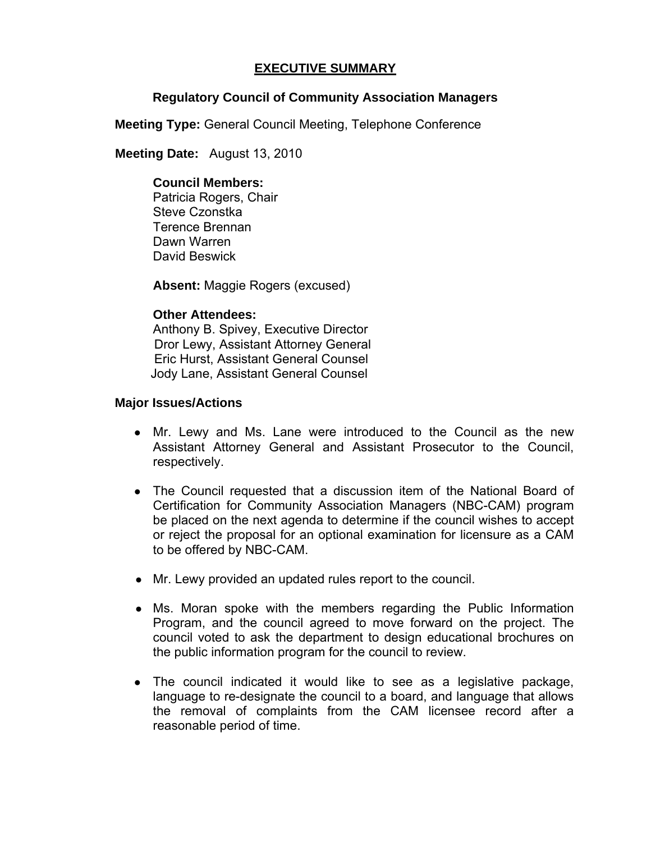# **EXECUTIVE SUMMARY**

# **Regulatory Council of Community Association Managers**

**Meeting Type:** General Council Meeting, Telephone Conference

 **Meeting Date:** August 13, 2010

# **Council Members:**

Patricia Rogers, Chair Steve Czonstka Terence Brennan Dawn Warren David Beswick

**Absent:** Maggie Rogers (excused)

# **Other Attendees:**

Anthony B. Spivey, Executive Director Dror Lewy, Assistant Attorney General Eric Hurst, Assistant General Counsel Jody Lane, Assistant General Counsel

# **Major Issues/Actions**

- Mr. Lewy and Ms. Lane were introduced to the Council as the new Assistant Attorney General and Assistant Prosecutor to the Council, respectively.
- The Council requested that a discussion item of the National Board of Certification for Community Association Managers (NBC-CAM) program be placed on the next agenda to determine if the council wishes to accept or reject the proposal for an optional examination for licensure as a CAM to be offered by NBC-CAM.
- Mr. Lewy provided an updated rules report to the council.
- Ms. Moran spoke with the members regarding the Public Information Program, and the council agreed to move forward on the project. The council voted to ask the department to design educational brochures on the public information program for the council to review.
- The council indicated it would like to see as a legislative package, language to re-designate the council to a board, and language that allows the removal of complaints from the CAM licensee record after a reasonable period of time.